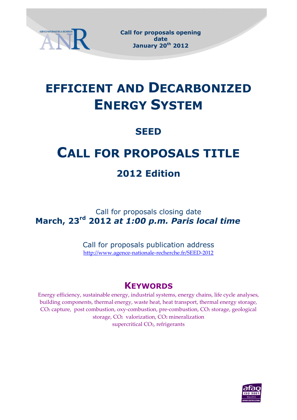

 **Call for proposals opening date January 20th 2012**

# **EFFICIENT AND DECARBONIZED ENERGY SYSTEM**

# **SEED**

# **CALL FOR PROPOSALS TITLE**

# **2012 Edition**

Call for proposals closing date **March, 23rd 2012** *at 1:00 p.m. Paris local time* 

> Call for proposals publication address <http://www.agence-nationale-recherche.fr/SEED-2012>

# **KEYWORDS**

Energy efficiency, sustainable energy, industrial systems, energy chains, life cycle analyses, building components, thermal energy, waste heat, heat transport, thermal energy storage, CO<sub>2</sub> capture, post combustion, oxy-combustion, pre-combustion, CO<sub>2</sub> storage, geological storage, CO2 valorization, CO<sup>2</sup> mineralization supercritical CO<sub>2</sub>, refrigerants

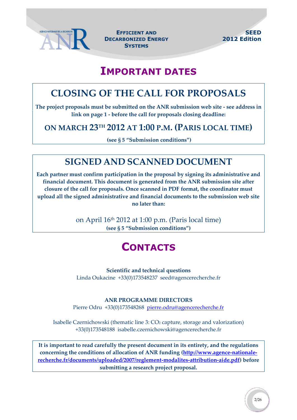

 **EFFICIENT AND DECARBONIZED ENERGY SYSTEMS**

# **IMPORTANT DATES**

# <span id="page-1-0"></span>**CLOSING OF THE CALL FOR PROPOSALS**

**The project proposals must be submitted on the ANR submission web site - see address in link on page 1 - before the call for proposals closing deadline:**

### **ON MARCH 23TH 2012 AT 1:00 P.M. (PARIS LOCAL TIME)**

**(see § 5 "Submission conditions")**

# **SIGNED AND SCANNED DOCUMENT**

**Each partner must confirm participation in the proposal by signing its administrative and financial document. This document is generated from the ANR submission site after closure of the call for proposals. Once scanned in PDF format, the coordinator must upload all the signed administrative and financial documents to the submission web site no later than:**

> on April 16th 2012 at 1:00 p.m. (Paris local time) **(see § 5 "Submission conditions")**

# **CONTACTS**

#### **Scientific and technical questions**

Linda Oukacine +33(0)173548237 seed@agencerecherche.fr

#### **ANR PROGRAMME DIRECTORS**

Pierre Odru +33(0)173548268 [pierre.odru@agencerecherche.fr](mailto:pierre.odru@agencerecherche.fr)

Isabelle Czernichowski (thematic line 3: CO<sup>2</sup> capture, storage and valorization) +33(0)173548188 isabelle.czernichowski@agencerecherche.fr

**It is important to read carefully the present document in its entirety, and the regulations concerning the conditions of allocation of ANR funding [\(http://www.agence-nationale](http://www.agence-nationale-recherche.fr/documents/uploaded/2007/reglement-modalites-attribution-aide.pdf)[recherche.fr/documents/uploaded/2007/reglement-modalites-attribution-aide.pdf\)](http://www.agence-nationale-recherche.fr/documents/uploaded/2007/reglement-modalites-attribution-aide.pdf) before submitting a research project proposal.**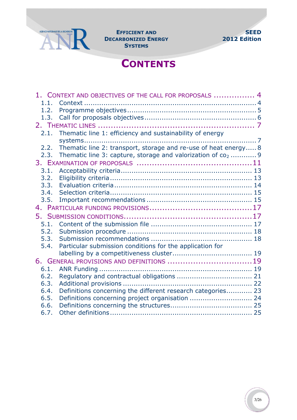

**DECARBONIZED ENERGY SYSTEMS**



# **CONTENTS**

|      | 1. CONTEXT AND OBJECTIVES OF THE CALL FOR PROPOSALS  4                  |  |
|------|-------------------------------------------------------------------------|--|
| 1.1. |                                                                         |  |
| 1.2. |                                                                         |  |
| 1.3. |                                                                         |  |
|      |                                                                         |  |
| 2.1. | Thematic line 1: efficiency and sustainability of energy                |  |
|      |                                                                         |  |
| 2.2. | Thematic line 2: transport, storage and re-use of heat energy 8         |  |
| 2.3. | Thematic line 3: capture, storage and valorization of co <sub>2</sub> 9 |  |
|      |                                                                         |  |
| 3.1. |                                                                         |  |
| 3.2. |                                                                         |  |
| 3.3. |                                                                         |  |
| 3.4. |                                                                         |  |
| 3.5. |                                                                         |  |
|      |                                                                         |  |
| 5.   |                                                                         |  |
| 5.1. |                                                                         |  |
| 5.2. |                                                                         |  |
| 5.3. |                                                                         |  |
| 5.4. | Particular submission conditions for the application for                |  |
|      |                                                                         |  |
|      | 6. GENERAL PROVISIONS AND DEFINITIONS 19                                |  |
| 6.1. |                                                                         |  |
| 6.2. |                                                                         |  |
| 6.3. |                                                                         |  |
| 6.4. | Definitions concerning the different research categories 23             |  |
| 6.5. | Definitions concerning project organisation  24                         |  |
| 6.6. |                                                                         |  |
| 6.7. |                                                                         |  |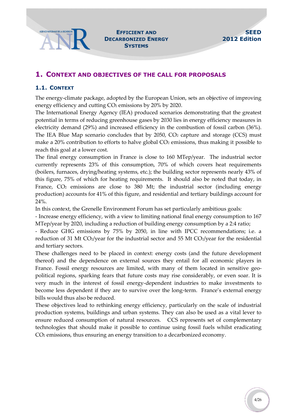#### <span id="page-3-0"></span>**1. CONTEXT AND OBJECTIVES OF THE CALL FOR PROPOSALS**

#### <span id="page-3-1"></span>**1.1. CONTEXT**

The energy-climate package, adopted by the European Union, sets an objective of improving energy efficiency and cutting CO<sub>2</sub> emissions by 20% by 2020.

The International Energy Agency (IEA) produced scenarios demonstrating that the greatest potential in terms of reducing greenhouse gases by 2030 lies in energy efficiency measures in electricity demand (29%) and increased efficiency in the combustion of fossil carbon (36%). The IEA Blue Map scenario concludes that by 2050, CO<sub>2</sub> capture and storage (CCS) must make a 20% contribution to efforts to halve global CO<sub>2</sub> emissions, thus making it possible to reach this goal at a lower cost.

The final energy consumption in France is close to 160 MTep/year. The industrial sector currently represents 23% of this consumption, 70% of which covers heat requirements (boilers, furnaces, drying/heating systems, etc.); the building sector represents nearly 43% of this figure, 75% of which for heating requirements. It should also be noted that today, in France,  $CO<sub>2</sub>$  emissions are close to 380 Mt; the industrial sector (including energy production) accounts for 41% of this figure, and residential and tertiary buildings account for 24%.

In this context, the Grenelle Environment Forum has set particularly ambitious goals:

- Increase energy efficiency, with a view to limiting national final energy consumption to 167 MTep/year by 2020, including a reduction of building energy consumption by a 2:4 ratio;

- Reduce GHG emissions by 75% by 2050, in line with IPCC recommendations; i.e. a reduction of 31 Mt CO2/year for the industrial sector and 55 Mt CO2/year for the residential and tertiary sectors.

These challenges need to be placed in context: energy costs (and the future development thereof) and the dependence on external sources they entail for all economic players in France. Fossil energy resources are limited, with many of them located in sensitive geopolitical regions, sparking fears that future costs may rise considerably, or even soar. It is very much in the interest of fossil energy-dependent industries to make investments to become less dependent if they are to survive over the long-term. France's external energy bills would thus also be reduced.

These objectives lead to rethinking energy efficiency, particularly on the scale of industrial production systems, buildings and urban systems. They can also be used as a vital lever to ensure reduced consumption of natural resources. CCS represents set of complementary technologies that should make it possible to continue using fossil fuels whilst eradicating CO<sup>2</sup> emissions, thus ensuring an energy transition to a decarbonized economy.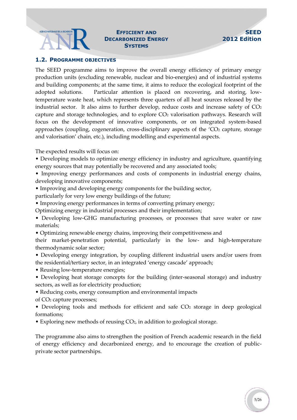#### AGENCE NATIONALE DE LA RECHERCHE **AND DECARBONIZED ENERGY SYSTEMS**

#### <span id="page-4-0"></span>**1.2. PROGRAMME OBJECTIVES**

The SEED programme aims to improve the overall energy efficiency of primary energy production units (excluding renewable, nuclear and bio-energies) and of industrial systems and building components; at the same time, it aims to reduce the ecological footprint of the adopted solutions. Particular attention is placed on recovering, and storing, lowtemperature waste heat, which represents three quarters of all heat sources released by the industrial sector. It also aims to further develop, reduce costs and increase safety of  $CO<sub>2</sub>$ capture and storage technologies, and to explore CO<sub>2</sub> valorisation pathways. Research will focus on the development of innovative components, or on integrated system-based approaches (coupling, cogeneration, cross-disciplinary aspects of the  $'CO<sub>2</sub>$  capture, storage and valorisation' chain, etc.), including modelling and experimental aspects.

The expected results will focus on:

• Developing models to optimize energy efficiency in industry and agriculture, quantifying energy sources that may potentially be recovered and any associated tools;

• Improving energy performances and costs of components in industrial energy chains, developing innovative components;

• Improving and developing energy components for the building sector,

particularly for very low energy buildings of the future;

- Improving energy performances in terms of converting primary energy;
- Optimizing energy in industrial processes and their implementation;

• Developing low-GHG manufacturing processes, or processes that save water or raw materials;

• Optimizing renewable energy chains, improving their competitiveness and

their market-penetration potential, particularly in the low- and high-temperature thermodynamic solar sector;

- Developing energy integration, by coupling different industrial users and/or users from the residential/tertiary sector, in an integrated 'energy cascade' approach;
- Reusing low-temperature energies;

• Developing heat storage concepts for the building (inter-seasonal storage) and industry sectors, as well as for electricity production;

• Reducing costs, energy consumption and environmental impacts

of CO<sup>2</sup> capture processes;

- Developing tools and methods for efficient and safe CO2 storage in deep geological formations;
- Exploring new methods of reusing CO<sub>2</sub>, in addition to geological storage.

The programme also aims to strengthen the position of French academic research in the field of energy efficiency and decarbonized energy, and to encourage the creation of publicprivate sector partnerships.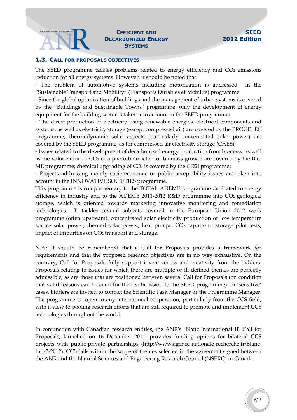#### AGENCE NATIONALE DE LA RECHERCHE **DECARBONIZED ENERGY SYSTEMS**

#### <span id="page-5-0"></span>**1.3. CALL FOR PROPOSALS OBJECTIVES**

The SEED programme tackles problems related to energy efficiency and  $CO<sub>2</sub>$  emissions reduction for all energy systems. However, it should be noted that:

- The problem of automotive systems including motorization is addressed in the "Sustainable Transport and Mobility" (Transports Durables et Mobilité) programme

- Since the global optimization of buildings and the management of urban systems is covered by the "Buildings and Sustainable Towns" programme, only the development of energy equipment for the building sector is taken into account in the SEED programme;

- The direct production of electricity using renewable energies, electrical components and systems, as well as electricity storage (except compressed air) are covered by the PROGELEC programme; thermodynamic solar aspects (particularly concentrated solar power) are covered by the SEED programme, as for compressed air electricity storage (CAES);

- Issues related to the development of decarbonized energy production from biomass, as well as the valorization of  $CO<sub>2</sub>$  in a photo-bioreactor for biomass growth are covered by the Bio-ME programme; chemical upgrading of  $CO<sub>2</sub>$  is covered by the CD2I programme;

- Projects addressing mainly socio-economic or public acceptability issues are taken into account in the INNOVATIVE SOCIETIES programme.

This programme is complementary to the TOTAL ADEME programme dedicated to energy efficiency in industry and to the ADEME 2011-2012 R&D programme into CO<sub>2</sub> geological storage, which is oriented towards marketing innovative monitoring and remediation technologies. It tackles several subjects covered in the European Union 2012 work programme (often upstream): concentrated solar electricity production or low temperature source solar power, thermal solar power, heat pumps, CO<sub>2</sub> capture or storage pilot tests, impact of impurities on CO<sub>2</sub> transport and storage.

N.B.: It should be remembered that a Call for Proposals provides a framework for requirements and that the proposed research objectives are in no way exhaustive. On the contrary, Call for Proposals fully support inventiveness and creativity from the bidders. Proposals relating to issues for which there are multiple or ill-defined themes are perfectly admissible, as are those that are positioned between several Call for Proposals (on condition that valid reasons can be cited for their submission to the SEED programme). In 'sensitive' cases, bidders are invited to contact the Scientific Task Manager or the Programme Manager. The programme is open to any international cooperation, particularly from the CCS field, with a view to pooling research efforts that are still required to promote and implement CCS technologies throughout the world.

In conjunction with Canadian research entities, the ANR's "Blanc International II" Call for Proposals, launched on 16 December 2011, provides funding options for bilateral CCS projects with public-private partnerships (http://www.agence-nationale-recherche.fr/Blanc-Intl-2-2012). CCS falls within the scope of themes selected in the agreement signed between the ANR and the Natural Sciences and Engineering Research Council (NSERC) in Canada.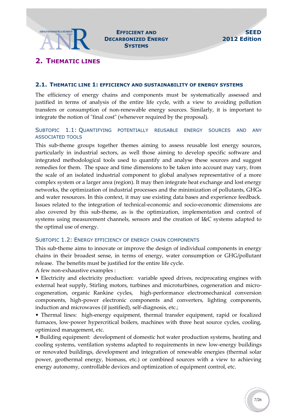#### AGENCE NATIONALE DE LA RECHERCHE **DECARBONIZED ENERGY SYSTEMS**

### <span id="page-6-0"></span>**2. THEMATIC LINES**

#### <span id="page-6-1"></span>**2.1. THEMATIC LINE 1: EFFICIENCY AND SUSTAINABILITY OF ENERGY SYSTEMS**

The efficiency of energy chains and components must be systematically assessed and justified in terms of analysis of the entire life cycle, with a view to avoiding pollution transfers or consumption of non-renewable energy sources. Similarly, it is important to integrate the notion of "final cost" (whenever required by the proposal).

#### SUBTOPIC 1.1: QUANTIFYING POTENTIALLY REUSABLE ENERGY SOURCES AND ANY ASSOCIATED TOOLS

This sub-theme groups together themes aiming to assess reusable lost energy sources, particularly in industrial sectors, as well those aiming to develop specific software and integrated methodological tools used to quantify and analyse these sources and suggest remedies for them. The space and time dimensions to be taken into account may vary, from the scale of an isolated industrial component to global analyses representative of a more complex system or a larger area (region). It may then integrate heat exchange and lost energy networks, the optimization of industrial processes and the minimization of pollutants, GHGs and water resources. In this context, it may use existing data bases and experience feedback. Issues related to the integration of technical-economic and socio-economic dimensions are also covered by this sub-theme, as is the optimization, implementation and control of systems using measurement channels, sensors and the creation of I&C systems adapted to the optimal use of energy.

#### SUBTOPIC 1.2: ENERGY EFFICIENCY OF ENERGY CHAIN COMPONENTS

This sub-theme aims to innovate or improve the design of individual components in energy chains in their broadest sense, in terms of energy, water consumption or GHG/pollutant release. The benefits must be justified for the entire life cycle.

A few non-exhaustive examples :

• Electricity and electricity production: variable speed drives, reciprocating engines with external heat supply, Stirling motors, turbines and microturbines, cogeneration and microcogeneration, organic Rankine cycles, high-performance electromechanical conversion components, high-power electronic components and converters, lighting components, induction and microwaves (if justified), self-diagnosis, etc.;

• Thermal lines: high-energy equipment, thermal transfer equipment, rapid or focalized furnaces, low-power hypercritical boilers, machines with three heat source cycles, cooling, optimized management, etc.

• Building equipment: development of domestic hot water production systems, heating and cooling systems, ventilation systems adapted to requirements in new low-energy buildings or renovated buildings, development and integration of renewable energies (thermal solar power, geothermal energy, biomass, etc.) or combined sources with a view to achieving energy autonomy, controllable devices and optimization of equipment control, etc.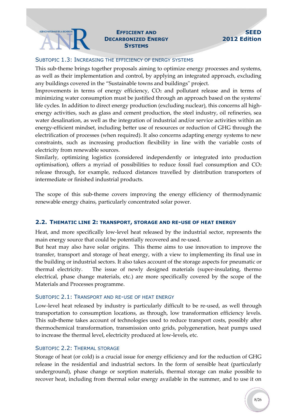#### AGENCE NATIONALE DE LA RECHERCHE**NT AND DECARBONIZED ENERGY SYSTEMS**

#### **SEED 2012 Edition**

#### SUBTOPIC 1.3: INCREASING THE EFFICIENCY OF ENERGY SYSTEMS

This sub-theme brings together proposals aiming to optimize energy processes and systems, as well as their implementation and control, by applying an integrated approach, excluding any buildings covered in the "Sustainable towns and buildings" project.

Improvements in terms of energy efficiency, CO<sup>2</sup> and pollutant release and in terms of minimizing water consumption must be justified through an approach based on the systems' life cycles. In addition to direct energy production (excluding nuclear), this concerns all highenergy activities, such as glass and cement production, the steel industry, oil refineries, sea water desalination, as well as the integration of industrial and/or service activities within an energy-efficient mindset, including better use of resources or reduction of GHG through the electrification of processes (when required). It also concerns adapting energy systems to new constraints, such as increasing production flexibility in line with the variable costs of electricity from renewable sources.

Similarly, optimizing logistics (considered independently or integrated into production optimisation), offers a myriad of possibilities to reduce fossil fuel consumption and  $CO<sub>2</sub>$ release through, for example, reduced distances travelled by distribution transporters of intermediate or finished industrial products.

The scope of this sub-theme covers improving the energy efficiency of thermodynamic renewable energy chains, particularly concentrated solar power.

#### <span id="page-7-0"></span>**2.2. THEMATIC LINE 2: TRANSPORT, STORAGE AND RE-USE OF HEAT ENERGY**

Heat, and more specifically low-level heat released by the industrial sector, represents the main energy source that could be potentially recovered and re-used.

But heat may also have solar origins. This theme aims to use innovation to improve the transfer, transport and storage of heat energy, with a view to implementing its final use in the building or industrial sectors. It also takes account of the storage aspects for pneumatic or thermal electricity. The issue of newly designed materials (super-insulating, thermo electrical, phase change materials, etc.) are more specifically covered by the scope of the Materials and Processes programme.

#### SUBTOPIC 2.1: TRANSPORT AND RE-USE OF HEAT ENERGY

Low-level heat released by industry is particularly difficult to be re-used, as well through transportation to consumption locations, as through, low transformation efficiency levels. This sub-theme takes account of technologies used to reduce transport costs, possibly after thermochemical transformation, transmission onto grids, polygeneration, heat pumps used to increase the thermal level, electricity produced at low-levels, etc.

#### SUBTOPIC 2.2: THERMAL STORAGE

Storage of heat (or cold) is a crucial issue for energy efficiency and for the reduction of GHG release in the residential and industrial sectors. In the form of sensible heat (particularly underground), phase change or sorption materials, thermal storage can make possible to recover heat, including from thermal solar energy available in the summer, and to use it on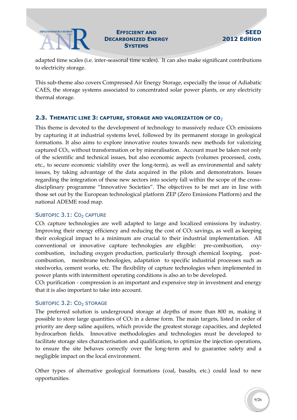### **DECARBONIZED ENERGY SYSTEMS**

adapted time scales (i.e. inter-seasonal time scales). It can also make significant contributions to electricity storage.

This sub-theme also covers Compressed Air Energy Storage, especially the issue of Adiabatic CAES, the storage systems associated to concentrated solar power plants, or any electricity thermal storage.

#### <span id="page-8-0"></span>**2.3. THEMATIC LINE 3: CAPTURE, STORAGE AND VALORIZATION OF CO**<sup>2</sup>

This theme is devoted to the development of technology to massively reduce CO2 emissions by capturing it at industrial systems level, followed by its permanent storage in geological formations. It also aims to explore innovative routes towards new methods for valorizing captured CO2, without transformation or by mineralisation. Account must be taken not only of the scientific and technical issues, but also economic aspects (volumes processed, costs, etc., to secure economic viability over the long-term), as well as environmental and safety issues, by taking advantage of the data acquired in the pilots and demonstrators. Issues regarding the integration of these new sectors into society fall within the scope of the crossdisciplinary programme "Innovative Societies". The objectives to be met are in line with those set out by the European technological platform ZEP (Zero Emissions Platform) and the national ADEME road map.

#### SUBTOPIC 3.1: CO<sub>2</sub> CAPTURE

CO<sup>2</sup> capture technologies are well adapted to large and localized emissions by industry. Improving their energy efficiency and reducing the cost of  $CO<sub>2</sub>$  savings, as well as keeping their ecological impact to a minimum are crucial to their industrial implementation. All conventional or innovative capture technologies are eligible: pre-combustion, oxycombustion, including oxygen production, particularly through chemical looping, postcombustion, membrane technologies, adaptation to specific industrial processes such as steelworks, cement works, etc. The flexibility of capture technologies when implemented in power plants with intermittent operating conditions is also an to be developed.

CO<sup>2</sup> purification - compression is an important and expensive step in investment and energy that it is also important to take into account.

#### SUBTOPIC 3.2: CO<sub>2</sub> STORAGE

The preferred solution is underground storage at depths of more than 800 m, making it possible to store large quantities of  $CO<sub>2</sub>$  in a dense form. The main targets, listed in order of priority are deep saline aquifers, which provide the greatest storage capacities, and depleted hydrocarbon fields. Innovative methodologies and technologies must be developed to facilitate storage sites characterisation and qualification, to optimize the injection operations, to ensure the site behaves correctly over the long-term and to guarantee safety and a negligible impact on the local environment.

Other types of alternative geological formations (coal, basalts, etc.) could lead to new opportunities.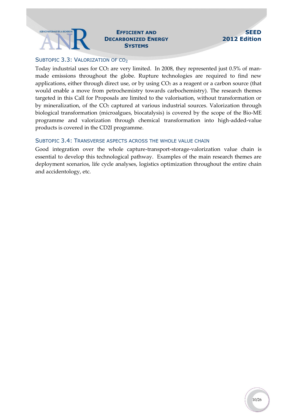## **DECARBONIZED ENERGY SYSTEMS**

#### **SEED 2012 Edition**

#### SUBTOPIC 3.3: VALORIZATION OF CO<sub>2</sub>

Today industrial uses for CO<sub>2</sub> are very limited. In 2008, they represented just 0.5% of manmade emissions throughout the globe. Rupture technologies are required to find new applications, either through direct use, or by using  $CO<sub>2</sub>$  as a reagent or a carbon source (that would enable a move from petrochemistry towards carbochemistry). The research themes targeted in this Call for Proposals are limited to the valorisation, without transformation or by mineralization, of the CO<sub>2</sub> captured at various industrial sources. Valorization through biological transformation (microalgues, biocatalysis) is covered by the scope of the Bio-ME programme and valorization through chemical transformation into high-added-value products is covered in the CD2I programme.

#### SUBTOPIC 3.4: TRANSVERSE ASPECTS ACROSS THE WHOLE VALUE CHAIN

Good integration over the whole capture-transport-storage-valorization value chain is essential to develop this technological pathway. Examples of the main research themes are deployment scenarios, life cycle analyses, logistics optimization throughout the entire chain and accidentology, etc.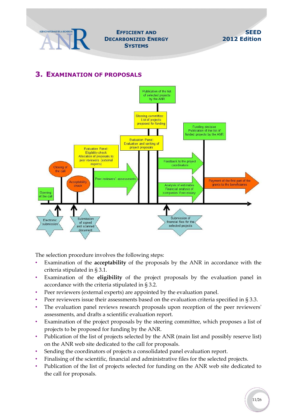

**DECARBONIZED ENERGY SYSTEMS**



### <span id="page-10-0"></span>**3. EXAMINATION OF PROPOSALS**



The selection procedure involves the following steps:

- Examination of the **acceptability** of the proposals by the ANR in accordance with the criteria stipulated in § [3.1.](#page-12-0)
- Examination of the **eligibility** of the project proposals by the evaluation panel in accordance with the criteria stipulated in § [3.2.](#page-12-1)
- Peer reviewers (external experts) are appointed by the evaluation panel.
- Peer reviewers issue their assessments based on the evaluation criteria specified in § [3.3.](#page-13-0)
- The evaluation panel reviews research proposals upon reception of the peer reviewers' assessments, and drafts a scientific evaluation report.
- Examination of the project proposals by the steering committee, which proposes a list of projects to be proposed for funding by the ANR.
- Publication of the list of projects selected by the ANR (main list and possibly reserve list) on the ANR web site dedicated to the call for proposals.
- Sending the coordinators of projects a consolidated panel evaluation report.
- Finalising of the scientific, financial and administrative files for the selected projects.
- Publication of the list of projects selected for funding on the ANR web site dedicated to the call for proposals.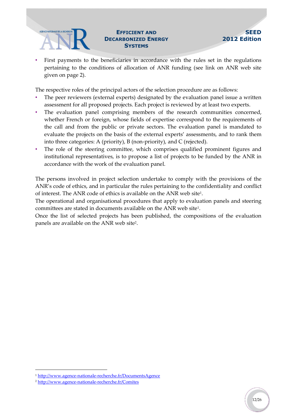## **DECARBONIZED ENERGY SYSTEMS**

First payments to the beneficiaries in accordance with the rules set in the regulations pertaining to the conditions of allocation of ANR funding (see link on ANR web site given on page 2).

The respective roles of the principal actors of the selection procedure are as follows:

- The peer reviewers (external experts) designated by the evaluation panel issue a written assessment for all proposed projects. Each project is reviewed by at least two experts.
- The evaluation panel comprising members of the research communities concerned, whether French or foreign, whose fields of expertise correspond to the requirements of the call and from the public or private sectors. The evaluation panel is mandated to evaluate the projects on the basis of the external experts' assessments, and to rank them into three categories: A (priority), B (non-priority), and C (rejected).
- The role of the steering committee, which comprises qualified prominent figures and institutional representatives, is to propose a list of projects to be funded by the ANR in accordance with the work of the evaluation panel.

The persons involved in project selection undertake to comply with the provisions of the ANR's code of ethics, and in particular the rules pertaining to the confidentiality and conflict of interest. The ANR code of ethics is available on the ANR web site<sup>1</sup> .

<span id="page-11-0"></span>The operational and organisational procedures that apply to evaluation panels and steering committees are stated in documents available on the ANR web site[1](#page-11-0) .

Once the list of selected projects has been published, the compositions of the evaluation panels are available on the ANR web site<sup>2</sup>.

-

<sup>1</sup> <http://www.agence-nationale-recherche.fr/DocumentsAgence>

<sup>2</sup> <http://www.agence-nationale-recherche.fr/Comites>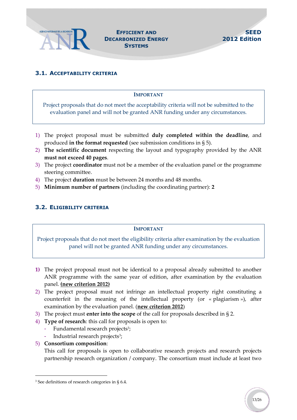

#### <span id="page-12-0"></span>**3.1. ACCEPTABILITY CRITERIA**

#### **IMPORTANT**

Project proposals that do not meet the acceptability criteria will not be submitted to the evaluation panel and will not be granted ANR funding under any circumstances.

- 1) The project proposal must be submitted **duly completed within the deadline**, and produced **in the format requested** (see submission conditions in § 5).
- 2) **The scientific document** respecting the layout and typography provided by the ANR **must not exceed 40 pages**.
- 3) The project **coordinator** must not be a member of the evaluation panel or the programme steering committee.
- 4) The project **duration** must be between 24 months and 48 months.
- 5) **Minimum number of partners** (including the coordinating partner): **2**

#### <span id="page-12-1"></span>**3.2. ELIGIBILITY CRITERIA**

#### **IMPORTANT**

Project proposals that do not meet the eligibility criteria after examination by the evaluation panel will not be granted ANR funding under any circumstances.

- **1)** The project proposal must not be identical to a proposal already submitted to another ANR programme with the same year of edition, after examination by the evaluation panel. **(new criterion 2012)**
- 2) The project proposal must not infringe an intellectual property right constituting a counterfeit in the meaning of the intellectual property (or « plagiarism »), after examination by the evaluation panel. (**new criterion 2012**)
- 3) The project must **enter into the scope** of the call for proposals described in § [2.](#page-6-0)
- 4) **Type of research**: this call for proposals is open to:
	- Fundamental research projects<sup>3</sup>;
	- Industrial research projects<sup>[3](#page-12-2)</sup>;
- 5) **Consortium composition**:

1

<span id="page-12-2"></span>This call for proposals is open to collaborative research projects and research projects partnership research organization / company. The consortium must include at least two

<sup>&</sup>lt;sup>3</sup> See definitions of research categories in § 6.4.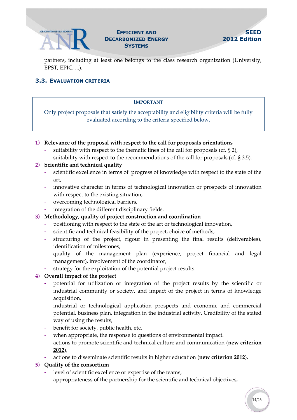

## **DECARBONIZED ENERGY SYSTEMS**

partners, including at least one belongs to the class research organization (University, EPST, EPIC, ...).

#### <span id="page-13-0"></span>**3.3. EVALUATION CRITERIA**

#### **IMPORTANT**

Only project proposals that satisfy the acceptability and eligibility criteria will be fully evaluated according to the criteria specified below.

#### **1) Relevance of the proposal with respect to the call for proposals orientations**

- suitability with respect to the thematic lines of the call for proposals (cf.  $\S 2$ ),
- suitability with respect to the recommendations of the call for proposals (cf.  $\S 3.5$ ).

#### **2) Scientific and technical quality**

- scientific excellence in terms of progress of knowledge with respect to the state of the art,
- innovative character in terms of technological innovation or prospects of innovation with respect to the existing situation,
- overcoming technological barriers,
- integration of the different disciplinary fields.
- **3) Methodology, quality of project construction and coordination**
	- positioning with respect to the state of the art or technological innovation,
	- scientific and technical feasibility of the project, choice of methods,
	- structuring of the project, rigour in presenting the final results (deliverables), identification of milestones,
	- quality of the management plan (experience, project financial and legal management), involvement of the coordinator,
	- strategy for the exploitation of the potential project results.

#### **4) Overall impact of the project**

- potential for utilization or integration of the project results by the scientific or industrial community or society, and impact of the project in terms of knowledge acquisition,
- industrial or technological application prospects and economic and commercial potential, business plan, integration in the industrial activity. Credibility of the stated way of using the results,
- benefit for society, public health, etc.
- when appropriate, the response to questions of environmental impact.
- actions to promote scientific and technical culture and communication (**new criterion 2012**),
- actions to disseminate scientific results in higher education (**new criterion 2012**).

#### **5) Quality of the consortium**

- level of scientific excellence or expertise of the teams,
- appropriateness of the partnership for the scientific and technical objectives,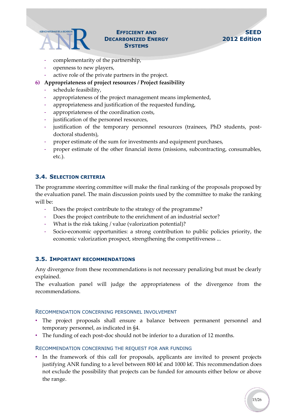## **DECARBONIZED ENERGY SYSTEMS**

#### **SEED 2012 Edition**

- complementarity of the partnership,
- openness to new players,
- active role of the private partners in the project.
- **6) Appropriateness of project resources / Project feasibility**
	- schedule feasibility,
	- appropriateness of the project management means implemented,
	- appropriateness and justification of the requested funding,
	- appropriateness of the coordination costs,
	- justification of the personnel resources,
	- justification of the temporary personnel resources (trainees, PhD students, postdoctoral students),
	- proper estimate of the sum for investments and equipment purchases,
	- proper estimate of the other financial items (missions, subcontracting, consumables, etc.).

#### <span id="page-14-0"></span>**3.4. SELECTION CRITERIA**

The programme steering committee will make the final ranking of the proposals proposed by the evaluation panel. The main discussion points used by the committee to make the ranking will be:

- Does the project contribute to the strategy of the programme?
- Does the project contribute to the enrichment of an industrial sector?
- What is the risk taking / value (valorization potential)?
- Socio-economic opportunities: a strong contribution to public policies priority, the economic valorization prospect, strengthening the competitiveness ...

#### <span id="page-14-1"></span>**3.5. IMPORTANT RECOMMENDATIONS**

Any divergence from these recommendations is not necessary penalizing but must be clearly explained.

The evaluation panel will judge the appropriateness of the divergence from the recommendations.

#### RECOMMENDATION CONCERNING PERSONNEL INVOLVEMENT

- The project proposals shall ensure a balance between permanent personnel and temporary personnel, as indicated in §4.
- The funding of each post-doc should not be inferior to a duration of 12 months.

#### RECOMMENDATION CONCERNING THE REQUEST FOR ANR FUNDING

• In the framework of this call for proposals, applicants are invited to present projects justifying ANR funding to a level between 800 k€ and 1000 k€. This recommendation does not exclude the possibility that projects can be funded for amounts either below or above the range.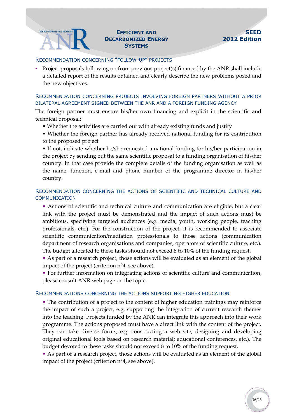#### AGENCE NATIONALE DE LA RECHERCHE **DECARBONIZED ENERGY SYSTEMS**

#### RECOMMENDATION CONCERNING "FOLLOW-UP" PROJECTS

• Project proposals following on from previous project(s) financed by the ANR shall include a detailed report of the results obtained and clearly describe the new problems posed and the new objectives.

#### RECOMMENDATION CONCERNING PROJECTS INVOLVING FOREIGN PARTNERS WITHOUT A PRIOR BILATERAL AGREEMENT SIGNED BETWEEN THE ANR AND A FOREIGN FUNDING AGENCY

The foreign partner must ensure his/her own financing and explicit in the scientific and technical proposal:

- Whether the activities are carried out with already existing funds and justify
- Whether the foreign partner has already received national funding for its contribution to the proposed project

• If not, indicate whether he/she requested a national funding for his/her participation in the project by sending out the same scientific proposal to a funding organisation of his/her country. In that case provide the complete details of the funding organisation as well as the name, function, e-mail and phone number of the programme director in his/her country.

#### RECOMMENDATION CONCERNING THE ACTIONS OF SCIENTIFIC AND TECHNICAL CULTURE AND COMMUNICATION

- Actions of scientific and technical culture and communication are eligible, but a clear link with the project must be demonstrated and the impact of such actions must be ambitious, specifying targeted audiences (e.g. media, youth, working people, teaching professionals, etc.). For the construction of the project, it is recommended to associate scientific communication/mediation professionals to those actions (communication department of research organisations and companies, operators of scientific culture, etc.). The budget allocated to these tasks should not exceed 8 to 10% of the funding request.
- As part of a research project, those actions will be evaluated as an element of the global impact of the project (criterion n°4, see above).
- For further information on integrating actions of scientific culture and communication, please consult ANR web page on the topic.

#### RECOMMENDATIONS CONCERNING THE ACTIONS SUPPORTING HIGHER EDUCATION

• The contribution of a project to the content of higher education trainings may reinforce the impact of such a project, e.g. supporting the integration of current research themes into the teaching. Projects funded by the ANR can integrate this approach into their work programme. The actions proposed must have a direct link with the content of the project. They can take diverse forms, e.g. constructing a web site, designing and developing original educational tools based on research material; educational conferences, etc.). The budget devoted to these tasks should not exceed 8 to 10% of the funding request.

• As part of a research project, those actions will be evaluated as an element of the global impact of the project (criterion n°4, see above).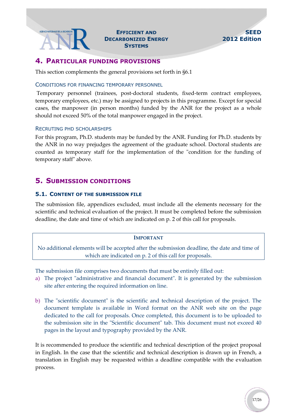### **DECARBONIZED ENERGY SYSTEMS**

#### <span id="page-16-0"></span>**4. PARTICULAR FUNDING PROVISIONS**

This section complements the general provisions set forth in §6.1

#### CONDITIONS FOR FINANCING TEMPORARY PERSONNEL

Temporary personnel (trainees, post-doctoral students, fixed-term contract employees, temporary employees, etc.) may be assigned to projects in this programme. Except for special cases, the manpower (in person months) funded by the ANR for the project as a whole should not exceed 50% of the total manpower engaged in the project.

#### RECRUTING PHD SCHOLARSHIPS

For this program, Ph.D. students may be funded by the ANR. Funding for Ph.D. students by the ANR in no way prejudges the agreement of the graduate school. Doctoral students are counted as temporary staff for the implementation of the "condition for the funding of temporary staff" above.

### <span id="page-16-1"></span>**5. SUBMISSION CONDITIONS**

#### <span id="page-16-2"></span>**5.1. CONTENT OF THE SUBMISSION FILE**

The submission file, appendices excluded, must include all the elements necessary for the scientific and technical evaluation of the project. It must be completed before the submission deadline, the date and time of which are indicated on p. 2 of this call for proposals.

#### **IMPORTANT**

No additional elements will be accepted after the submission deadline, the date and time of which are indicated on p. 2 of this call for proposals.

The submission file comprises two documents that must be entirely filled out:

- a) The project "administrative and financial document". It is generated by the submission site after entering the required information on line.
- b) The "scientific document" is the scientific and technical description of the project. The document template is available in Word format on the ANR web site on the page dedicated to the call for proposals. Once completed, this document is to be uploaded to the submission site in the "Scientific document" tab. This document must not exceed 40 pages in the layout and typography provided by the ANR.

It is recommended to produce the scientific and technical description of the project proposal in English. In the case that the scientific and technical description is drawn up in French, a translation in English may be requested within a deadline compatible with the evaluation process.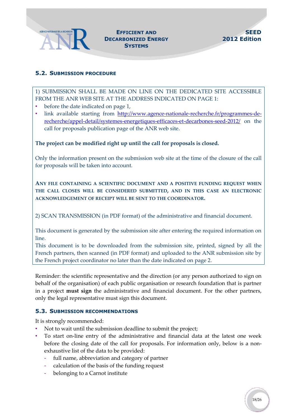

#### **EFFICIENT AND DECARBONIZED ENERGY SYSTEMS**

#### <span id="page-17-0"></span>**5.2. SUBMISSION PROCEDURE**

1) SUBMISSION SHALL BE MADE ON LINE ON THE DEDICATED SITE ACCESSIBLE FROM THE ANR WEB SITE AT THE ADDRESS INDICATED ON PAGE 1:

- before the date indicated on page 1,
- link available starting from [http://www.agence-nationale-recherche.fr/programmes-de](http://www.agence-nationale-recherche.fr/programmes-de-recherche/appel-detail/systemes-energetiques-efficaces-et-decarbones-seed-2012/)[recherche/appel-detail/systemes-energetiques-efficaces-et-decarbones-seed-2012/](http://www.agence-nationale-recherche.fr/programmes-de-recherche/appel-detail/systemes-energetiques-efficaces-et-decarbones-seed-2012/) on the call for proposals publication page of the ANR web site.

#### **The project can be modified right up until the call for proposals is closed.**

Only the information present on the submission web site at the time of the closure of the call for proposals will be taken into account.

**ANY FILE CONTAINING A SCIENTIFIC DOCUMENT AND A POSITIVE FUNDING REQUEST WHEN THE CALL CLOSES WILL BE CONSIDERED SUBMITTED, AND IN THIS CASE AN ELECTRONIC ACKNOWLEDGEMENT OF RECEIPT WILL BE SENT TO THE COORDINATOR.**

2) SCAN TRANSMISSION (in PDF format) of the administrative and financial document.

This document is generated by the submission site after entering the required information on line.

This document is to be downloaded from the submission site, printed, signed by all the French partners, then scanned (in PDF format) and uploaded to the ANR submission site by the French project coordinator no later than the date indicated on page 2.

Reminder: the scientific representative and the direction (or any person authorized to sign on behalf of the organisation) of each public organisation or research foundation that is partner in a project **must sign** the administrative and financial document. For the other partners, only the legal representative must sign this document.

#### <span id="page-17-1"></span>**5.3. SUBMISSION RECOMMENDATIONS**

It is strongly recommended:

- Not to wait until the submission deadline to submit the project;
- To start on-line entry of the administrative and financial data at the latest one week before the closing date of the call for proposals. For information only, below is a nonexhaustive list of the data to be provided:
	- full name, abbreviation and category of partner
	- calculation of the basis of the funding request
	- belonging to a Carnot institute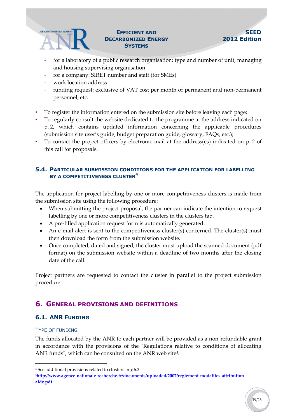## **DECARBONIZED ENERGY SYSTEMS**

#### **SEED 2012 Edition**

- for a laboratory of a public research organisation: type and number of unit, managing and housing supervising organisation
- for a company: SIRET number and staff (for SMEs)
- work location address
- funding request: exclusive of VAT cost per month of permanent and non-permanent personnel, etc.
- …
- To register the information entered on the submission site before leaving each page;
- To regularly consult the website dedicated to the programme at the address indicated on p. [2,](#page-1-0) which contains updated information concerning the applicable procedures (submission site user's guide, budget preparation guide, glossary, FAQs, etc.);
- To contact the project officers by electronic mail at the address(es) indicated on p. [2](#page-1-0) of this call for proposals.

#### <span id="page-18-0"></span>**5.4. PARTICULAR SUBMISSION CONDITIONS FOR THE APPLICATION FOR LABELLING BY A COMPETITIVENESS CLUSTER<sup>4</sup>**

The application for project labelling by one or more competitiveness clusters is made from the submission site using the following procedure:

- When submitting the project proposal, the partner can indicate the intention to request labelling by one or more competitiveness clusters in the clusters tab.
- A pre-filled application request form is automatically generated.
- An e-mail alert is sent to the competitiveness cluster(s) concerned. The cluster(s) must then download the form from the submission website.
- Once completed, dated and signed, the cluster must upload the scanned document (pdf format) on the submission website within a deadline of two months after the closing date of the call.

Project partners are requested to contact the cluster in parallel to the project submission procedure.

#### <span id="page-18-1"></span>**6. GENERAL PROVISIONS AND DEFINITIONS**

#### <span id="page-18-2"></span>**6.1. ANR FUNDING**

#### TYPE OF FUNDING

1

The funds allocated by the ANR to each partner will be provided as a non-refundable grant in accordance with the provisions of the "Regulations relative to conditions of allocating ANR funds", which can be consulted on the ANR web site<sup>5</sup>.

<sup>4</sup> See additional provisions related to clusters in § 6.3

<sup>5</sup>**[http://www.agence-nationale-recherche.fr/documents/uploaded/2007/reglement-modalites-attribution](http://www.agence-nationale-recherche.fr/documents/uploaded/2007/reglement-modalites-attribution-aide.pdf)[aide.pdf](http://www.agence-nationale-recherche.fr/documents/uploaded/2007/reglement-modalites-attribution-aide.pdf)**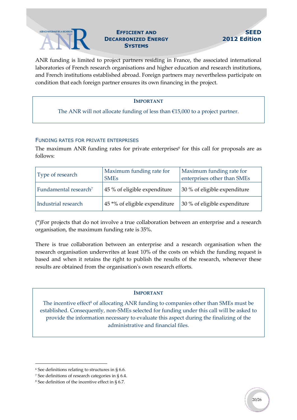

## **DECARBONIZED ENERGY SYSTEMS**

ANR funding is limited to project partners residing in France, the associated international laboratories of French research organisations and higher education and research institutions, and French institutions established abroad. Foreign partners may nevertheless participate on condition that each foreign partner ensures its own financing in the project.

#### **IMPORTANT**

The ANR will not allocate funding of less than €15,000 to a project partner.

#### FUNDING RATES FOR PRIVATE ENTERPRISES

The maximum ANR funding rates for private enterprises<sup>6</sup> for this call for proposals are as follows:

| Type of research                  | Maximum funding rate for<br><b>SME<sub>s</sub></b> | Maximum funding rate for<br>enterprises other than SMEs |
|-----------------------------------|----------------------------------------------------|---------------------------------------------------------|
| Fundamental research <sup>7</sup> | 45 % of eligible expenditure                       | 30 % of eligible expenditure                            |
| Industrial research               | 45 *% of eligible expenditure                      | 30 % of eligible expenditure                            |

(\*)For projects that do not involve a true collaboration between an enterprise and a research organisation, the maximum funding rate is 35%.

There is true collaboration between an enterprise and a research organisation when the research organisation underwrites at least 10% of the costs on which the funding request is based and when it retains the right to publish the results of the research, whenever these results are obtained from the organisation's own research efforts.

#### **IMPORTANT**

The incentive effect<sup>8</sup> of allocating ANR funding to companies other than SMEs must be established. Consequently, non-SMEs selected for funding under this call will be asked to provide the information necessary to evaluate this aspect during the finalizing of the administrative and financial files.

1

<sup>6</sup> See definitions relating to structures in [§ 6.6.](#page-24-0)

<sup>7</sup> See definitions of research categories in § [6.4.](#page-22-0)

<sup>8</sup> See definition of the incentive effect in § 6.7.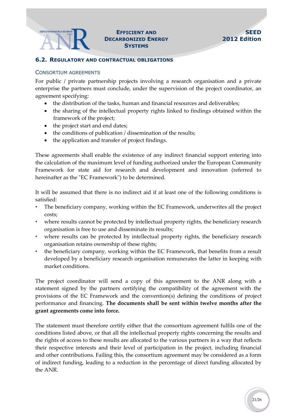#### AGENCE NATIONALE DE LA RECHERCHE **DECARBONIZED ENERGY SYSTEMS**

#### <span id="page-20-0"></span>**6.2. REGULATORY AND CONTRACTUAL OBLIGATIONS**

#### CONSORTIUM AGREEMENTS

For public / private partnership projects involving a research organisation and a private enterprise the partners must conclude, under the supervision of the project coordinator, an agreement specifying:

- the distribution of the tasks, human and financial resources and deliverables;
- the sharing of the intellectual property rights linked to findings obtained within the framework of the project;
- the project start and end dates;
- the conditions of publication / dissemination of the results;
- the application and transfer of project findings.

These agreements shall enable the existence of any indirect financial support entering into the calculation of the maximum level of funding authorized under the European Community Framework for state aid for research and development and innovation (referred to hereinafter as the "EC Framework") to be determined.

It will be assumed that there is no indirect aid if at least one of the following conditions is satisfied:

- The beneficiary company, working within the EC Framework, underwrites all the project costs;
- where results cannot be protected by intellectual property rights, the beneficiary research organisation is free to use and disseminate its results;
- where results can be protected by intellectual property rights, the beneficiary research organisation retains ownership of these rights;
- the beneficiary company, working within the EC Framework, that benefits from a result developed by a beneficiary research organisation remunerates the latter in keeping with market conditions.

The project coordinator will send a copy of this agreement to the ANR along with a statement signed by the partners certifying the compatibility of the agreement with the provisions of the EC Framework and the convention(s) defining the conditions of project performance and financing. **The documents shall be sent within twelve months after the grant agreements come into force.**

The statement must therefore certify either that the consortium agreement fulfils one of the conditions listed above, or that all the intellectual property rights concerning the results and the rights of access to these results are allocated to the various partners in a way that reflects their respective interests and their level of participation in the project, including financial and other contributions. Failing this, the consortium agreement may be considered as a form of indirect funding, leading to a reduction in the percentage of direct funding allocated by the ANR.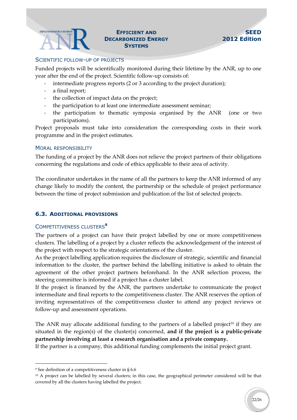### **DECARBONIZED ENERGY SYSTEMS**

#### SCIENTIFIC FOLLOW-UP OF PROJECTS

Funded projects will be scientifically monitored during their lifetime by the ANR, up to one year after the end of the project. Scientific follow-up consists of:

- intermediate progress reports (2 or 3 according to the project duration);
- a final report;
- the collection of impact data on the project;
- the participation to at least one intermediate assessment seminar;
- the participation to thematic symposia organised by the ANR (one or two participations).

Project proposals must take into consideration the corresponding costs in their work programme and in the project estimates.

#### MORAL RESPONSIBILITY

The funding of a project by the ANR does not relieve the project partners of their obligations concerning the regulations and code of ethics applicable to their area of activity.

The coordinator undertakes in the name of all the partners to keep the ANR informed of any change likely to modify the content, the partnership or the schedule of project performance between the time of project submission and publication of the list of selected projects.

#### <span id="page-21-0"></span>**6.3. ADDITIONAL PROVISIONS**

#### COMPETITIVENESS CLUSTERS**<sup>9</sup>**

The partners of a project can have their project labelled by one or more competitiveness clusters. The labelling of a project by a cluster reflects the acknowledgement of the interest of the project with respect to the strategic orientations of the cluster.

As the project labelling application requires the disclosure of strategic, scientific and financial information to the cluster, the partner behind the labelling initiative is asked to obtain the agreement of the other project partners beforehand. In the ANR selection process, the steering committee is informed if a project has a cluster label.

If the project is financed by the ANR, the partners undertake to communicate the project intermediate and final reports to the competitiveness cluster. The ANR reserves the option of inviting representatives of the competitiveness cluster to attend any project reviews or follow-up and assessment operations.

The ANR may allocate additional funding to the partners of a labelled project<sup>10</sup> if they are situated in the region(s) of the cluster(s) concerned, **and if the project is a public-private partnership involving at least a research organisation and a private company.**

If the partner is a company, this additional funding complements the initial project grant.

1

<sup>9</sup> See definition of a competitiveness cluster in § 6.6

<sup>&</sup>lt;sup>10</sup> A project can be labelled by several clusters; in this case, the geographical perimeter considered will be that covered by all the clusters having labelled the project.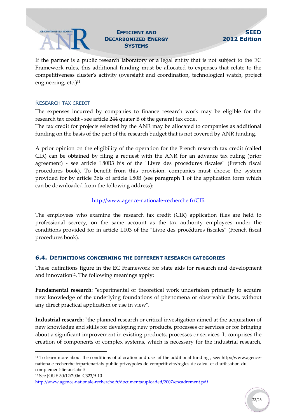## **DECARBONIZED ENERGY SYSTEMS**

#### **SEED 2012 Edition**

If the partner is a public research laboratory or a legal entity that is not subject to the EC Framework rules, this additional funding must be allocated to expenses that relate to the competitiveness cluster's activity (oversight and coordination, technological watch, project engineering, etc.)<sup>11</sup>.

#### RESEARCH TAX CREDIT

The expenses incurred by companies to finance research work may be eligible for the research tax credit - see article 244 quater B of the general tax code.

The tax credit for projects selected by the ANR may be allocated to companies as additional funding on the basis of the part of the research budget that is not covered by ANR funding.

A prior opinion on the eligibility of the operation for the French research tax credit (called CIR) can be obtained by filing a request with the ANR for an advance tax ruling (prior agreement) - see article L80B3 bis of the "Livre des procédures fiscales" (French fiscal procedures book). To benefit from this provision, companies must choose the system provided for by article 3bis of article L80B (see paragraph 1 of the application form which can be downloaded from the following address):

#### <http://www.agence-nationale-recherche.fr/CIR>

The employees who examine the research tax credit (CIR) application files are held to professional secrecy, on the same account as the tax authority employees under the conditions provided for in article L103 of the "Livre des procédures fiscales" (French fiscal procedures book).

#### <span id="page-22-0"></span>**6.4. DEFINITIONS CONCERNING THE DIFFERENT RESEARCH CATEGORIES**

These definitions figure in the EC Framework for state aids for research and development and innovation<sup>12</sup>. The following meanings apply:

**Fundamental research**: "experimental or theoretical work undertaken primarily to acquire new knowledge of the underlying foundations of phenomena or observable facts, without any direct practical application or use in view".

**Industrial research**: "the planned research or critical investigation aimed at the acquisition of new knowledge and skills for developing new products, processes or services or for bringing about a significant improvement in existing products, processes or services. It comprises the creation of components of complex systems, which is necessary for the industrial research,

<sup>12</sup> See JOUE 30/12/2006 C323/9-10

-

<sup>11</sup> To learn more about the conditions of allocation and use of the additional funding , see: http://www.agencenationale-recherche.fr/partenariats-public-prive/poles-de-competitivite/regles-de-calcul-et-d-utilisation-ducomplement-lie-au-label/

<http://www.agence-nationale-recherche.fr/documents/uploaded/2007/encadrement.pdf>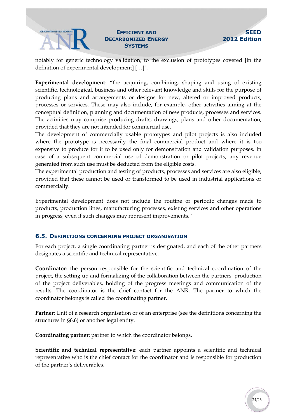### **DECARBONIZED ENERGY SYSTEMS**

notably for generic technology validation, to the exclusion of prototypes covered [in the definition of experimental development] […]".

**Experimental development**: "the acquiring, combining, shaping and using of existing scientific, technological, business and other relevant knowledge and skills for the purpose of producing plans and arrangements or designs for new, altered or improved products, processes or services. These may also include, for example, other activities aiming at the conceptual definition, planning and documentation of new products, processes and services. The activities may comprise producing drafts, drawings, plans and other documentation, provided that they are not intended for commercial use.

The development of commercially usable prototypes and pilot projects is also included where the prototype is necessarily the final commercial product and where it is too expensive to produce for it to be used only for demonstration and validation purposes. In case of a subsequent commercial use of demonstration or pilot projects, any revenue generated from such use must be deducted from the eligible costs.

The experimental production and testing of products, processes and services are also eligible, provided that these cannot be used or transformed to be used in industrial applications or commercially.

Experimental development does not include the routine or periodic changes made to products, production lines, manufacturing processes, existing services and other operations in progress, even if such changes may represent improvements."

#### <span id="page-23-0"></span>**6.5. DEFINITIONS CONCERNING PROJECT ORGANISATION**

For each project, a single coordinating partner is designated, and each of the other partners designates a scientific and technical representative.

**Coordinator**: the person responsible for the scientific and technical coordination of the project, the setting up and formalizing of the collaboration between the partners, production of the project deliverables, holding of the progress meetings and communication of the results. The coordinator is the chief contact for the ANR. The partner to which the coordinator belongs is called the coordinating partner.

**Partner**: Unit of a research organisation or of an enterprise (see the definitions concerning the structures in §6.6) or another legal entity.

**Coordinating partner**: partner to which the coordinator belongs.

**Scientific and technical representative**: each partner appoints a scientific and technical representative who is the chief contact for the coordinator and is responsible for production of the partner's deliverables.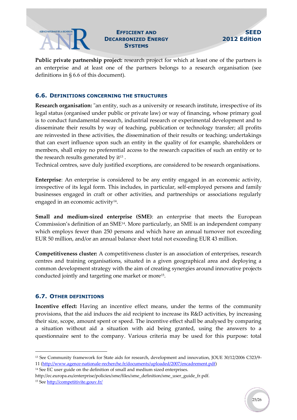## **DECARBONIZED ENERGY SYSTEMS**

#### **SEED 2012 Edition**

**Public private partnership project:** research project for which at least one of the partners is an enterprise and at least one of the partners belongs to a research organisation (see definitions in § 6.6 of this document).

#### <span id="page-24-0"></span>**6.6. DEFINITIONS CONCERNING THE STRUCTURES**

**Research organisation:** "an entity, such as a university or research institute, irrespective of its legal status (organised under public or private law) or way of financing, whose primary goal is to conduct fundamental research, industrial research or experimental development and to disseminate their results by way of teaching, publication or technology transfer; all profits are reinvested in these activities, the dissemination of their results or teaching; undertakings that can exert influence upon such an entity in the quality of for example, shareholders or members, shall enjoy no preferential access to the research capacities of such an entity or to the research results generated by  $it^{13}$ .

Technical centres, save duly justified exceptions, are considered to be research organisations.

<span id="page-24-2"></span>**Enterprise**: An enterprise is considered to be any entity engaged in an economic activity, irrespective of its legal form. This includes, in particular, self-employed persons and family businesses engaged in craft or other activities, and partnerships or associations regularly engaged in an economic activity<sup>14</sup> .

**Small and medium-sized enterprise (SME)**: an enterprise that meets the European Commission's definition of an SME[14](#page-24-2) . More particularly, an SME is an independent company which employs fewer than 250 persons and which have an annual turnover not exceeding EUR 50 million, and/or an annual balance sheet total not exceeding EUR 43 million.

**Competitiveness cluster:** A competitiveness cluster is an association of enterprises, research centres and training organisations, situated in a given geographical area and deploying a common development strategy with the aim of creating synergies around innovative projects conducted jointly and targeting one market or more<sup>15</sup> .

#### <span id="page-24-1"></span>**6.7. OTHER DEFINITIONS**

-

**Incentive effect:** Having an incentive effect means, under the terms of the community provisions, that the aid induces the aid recipient to increase its R&D activities, by increasing their size, scope, amount spent or speed. The incentive effect shall be analysed by comparing a situation without aid a situation with aid being granted, using the answers to a questionnaire sent to the company. Various criteria may be used for this purpose: total

<sup>13</sup> See Community framework for State aids for research, development and innovation, JOUE 30/12/2006 C323/9- 11 [\(http://www.agence-nationale-recherche.fr/documents/uploaded/2007/encadrement.pdf\)](http://www.agence-nationale-recherche.fr/documents/uploaded/2007/encadrement.pdf)

<sup>&</sup>lt;sup>14</sup> See EC user guide on the definition of small and medium sized enterprises.

http://ec.europa.eu/enterprise/policies/sme/files/sme\_definition/sme\_user\_guide\_fr.pdf. <sup>15</sup> See <http://competitivite.gouv.fr/>